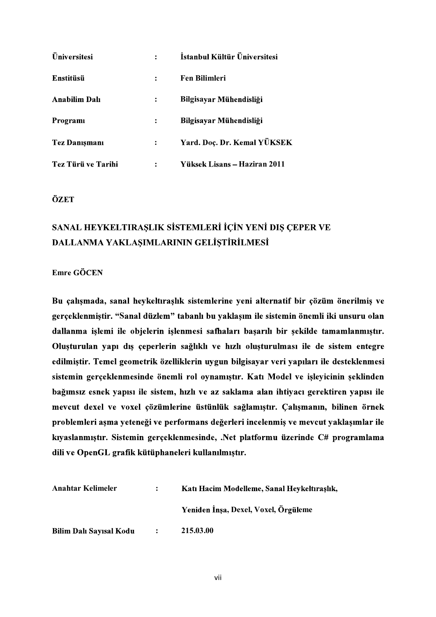| <b>Üniversitesi</b>  | $\ddot{\cdot}$ | İstanbul Kültür Üniversitesi |
|----------------------|----------------|------------------------------|
| Enstitüsü            | $\ddot{\cdot}$ | <b>Fen Bilimleri</b>         |
| <b>Anabilim Dalı</b> | $\ddot{\cdot}$ | Bilgisayar Mühendisliği      |
| Programi             | $\ddot{\cdot}$ | Bilgisayar Mühendisliği      |
| <b>Tez Danışmanı</b> | $\ddot{\cdot}$ | Yard. Doç. Dr. Kemal YÜKSEK  |
| Tez Türü ve Tarihi   | $\ddot{\cdot}$ | Yüksek Lisans – Haziran 2011 |

ÖZET

## SANAL HEYKELTIRAŞLIK SİSTEMLERİ İÇİN YENİ DIŞ ÇEPER VE DALLANMA YAKLAŞIMLARININ GELİŞTİRİLMESİ

**Emre GÖCEN** 

Bu çalışmada, sanal heykeltıraşlık sistemlerine yeni alternatif bir çözüm önerilmiş ve gerçeklenmiştir. "Sanal düzlem" tabanlı bu yaklaşım ile sistemin önemli iki unsuru olan dallanma işlemi ile objelerin işlenmesi safhaları başarılı bir şekilde tamamlanmıştır. Oluşturulan yapı dış çeperlerin sağlıklı ve hızlı oluşturulması ile de sistem entegre edilmiştir. Temel geometrik özelliklerin uygun bilgisayar veri yapıları ile desteklenmesi sistemin gerçeklenmesinde önemli rol oynamıştır. Katı Model ve işleyicinin şeklinden bağımsız esnek yapısı ile sistem, hızlı ve az saklama alan ihtiyacı gerektiren yapısı ile mevcut dexel ve voxel çözümlerine üstünlük sağlamıştır. Çalışmanın, bilinen örnek problemleri aşma yeteneği ve performans değerleri incelenmiş ve mevcut yaklaşımlar ile kıyaslanmıştır. Sistemin gerçeklenmesinde, .Net platformu üzerinde C# programlama dili ve OpenGL grafik kütüphaneleri kullanılmıştır.

| Anahtar Kelimeler       | $\mathbf{L}$             | Katı Hacim Modelleme, Sanal Heykeltıraşlık, |
|-------------------------|--------------------------|---------------------------------------------|
|                         |                          | Yeniden İnşa, Dexel, Voxel, Örgüleme        |
| Bilim Dalı Sayısal Kodu | <b><i>Contractor</i></b> | 215.03.00                                   |